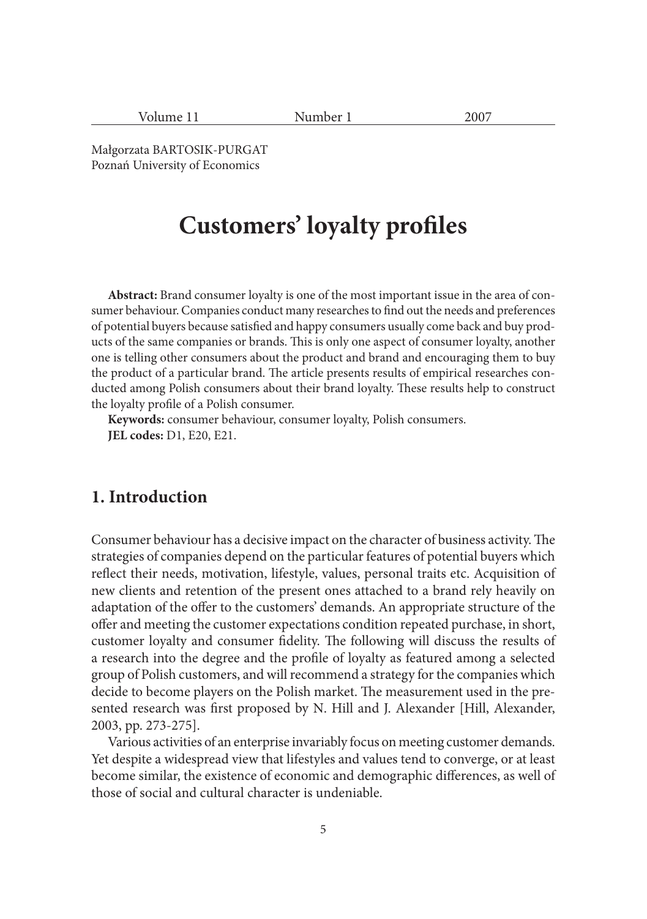| Ollime |  |
|--------|--|

Number 1 2007

Małgorzata BARTOSIK-PURGAT Poznań University of Economics

# **Customers' loyalty profiles**

**Abstract:** Brand consumer loyalty is one of the most important issue in the area of consumer behaviour. Companies conduct many researches to find out the needs and preferences of potential buyers because satisfied and happy consumers usually come back and buy products of the same companies or brands. This is only one aspect of consumer loyalty, another one is telling other consumers about the product and brand and encouraging them to buy the product of a particular brand. The article presents results of empirical researches conducted among Polish consumers about their brand loyalty. These results help to construct the loyalty profile of a Polish consumer.

**Keywords:** consumer behaviour, consumer loyalty, Polish consumers. **JEL codes:** D1, E20, E21.

#### **1. Introduction**

Consumer behaviour has a decisive impact on the character of business activity. The strategies of companies depend on the particular features of potential buyers which reflect their needs, motivation, lifestyle, values, personal traits etc. Acquisition of new clients and retention of the present ones attached to a brand rely heavily on adaptation of the offer to the customers' demands. An appropriate structure of the offer and meeting the customer expectations condition repeated purchase, in short, customer loyalty and consumer fidelity. The following will discuss the results of a research into the degree and the profile of loyalty as featured among a selected group of Polish customers, and will recommend a strategy for the companies which decide to become players on the Polish market. The measurement used in the presented research was first proposed by N. Hill and J. Alexander [Hill, Alexander, 2003, pp. 273-275].

Various activities of an enterprise invariably focus on meeting customer demands. Yet despite a widespread view that lifestyles and values tend to converge, or at least become similar, the existence of economic and demographic differences, as well of those of social and cultural character is undeniable.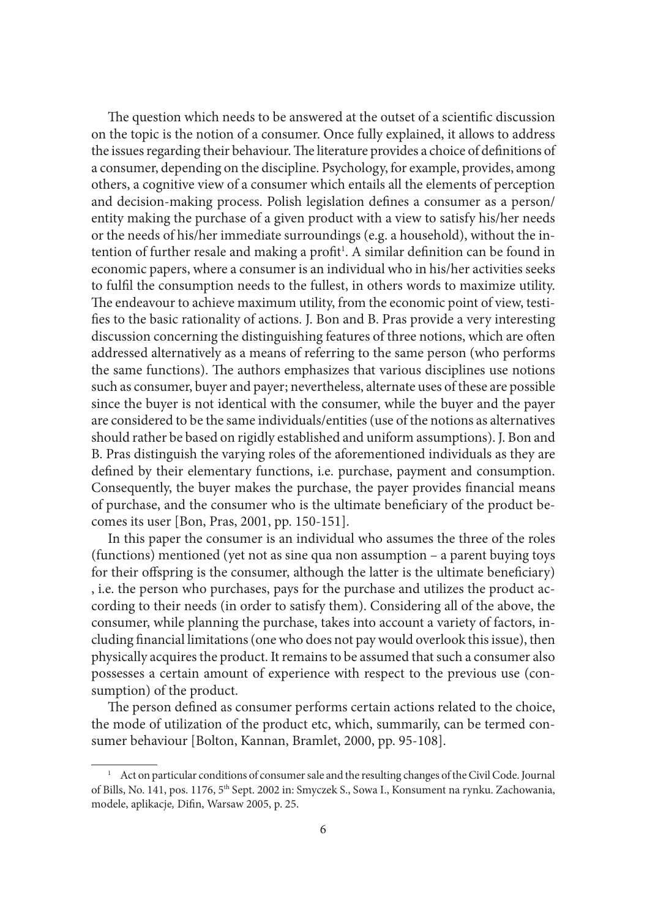The question which needs to be answered at the outset of a scientific discussion on the topic is the notion of a consumer. Once fully explained, it allows to address the issues regarding their behaviour. The literature provides a choice of definitions of a consumer, depending on the discipline. Psychology, for example, provides, among others, a cognitive view of a consumer which entails all the elements of perception and decision-making process. Polish legislation defines a consumer as a person/ entity making the purchase of a given product with a view to satisfy his/her needs or the needs of his/her immediate surroundings (e.g. a household), without the intention of further resale and making a profit<sup>1</sup>. A similar definition can be found in economic papers, where a consumer is an individual who in his/her activities seeks to fulfi l the consumption needs to the fullest, in others words to maximize utility. The endeavour to achieve maximum utility, from the economic point of view, testifies to the basic rationality of actions. J. Bon and B. Pras provide a very interesting discussion concerning the distinguishing features of three notions, which are often addressed alternatively as a means of referring to the same person (who performs the same functions). The authors emphasizes that various disciplines use notions such as consumer, buyer and payer; nevertheless, alternate uses of these are possible since the buyer is not identical with the consumer, while the buyer and the payer are considered to be the same individuals/entities (use of the notions as alternatives should rather be based on rigidly established and uniform assumptions). J. Bon and B. Pras distinguish the varying roles of the aforementioned individuals as they are defined by their elementary functions, i.e. purchase, payment and consumption. Consequently, the buyer makes the purchase, the payer provides financial means of purchase, and the consumer who is the ultimate beneficiary of the product becomes its user [Bon, Pras, 2001, pp. 150-151].

In this paper the consumer is an individual who assumes the three of the roles (functions) mentioned (yet not as sine qua non assumption – a parent buying toys for their offspring is the consumer, although the latter is the ultimate beneficiary) , i.e. the person who purchases, pays for the purchase and utilizes the product according to their needs (in order to satisfy them). Considering all of the above, the consumer, while planning the purchase, takes into account a variety of factors, including financial limitations (one who does not pay would overlook this issue), then physically acquires the product. It remains to be assumed that such a consumer also possesses a certain amount of experience with respect to the previous use (consumption) of the product.

The person defined as consumer performs certain actions related to the choice, the mode of utilization of the product etc, which, summarily, can be termed consumer behaviour [Bolton, Kannan, Bramlet, 2000, pp. 95-108].

<sup>&</sup>lt;sup>1</sup> Act on particular conditions of consumer sale and the resulting changes of the Civil Code. Journal of Bills, No. 141, pos. 1176, 5th Sept. 2002 in: Smyczek S., Sowa I., Konsument na rynku. Zachowania, modele, aplikacje, Difin, Warsaw 2005, p. 25.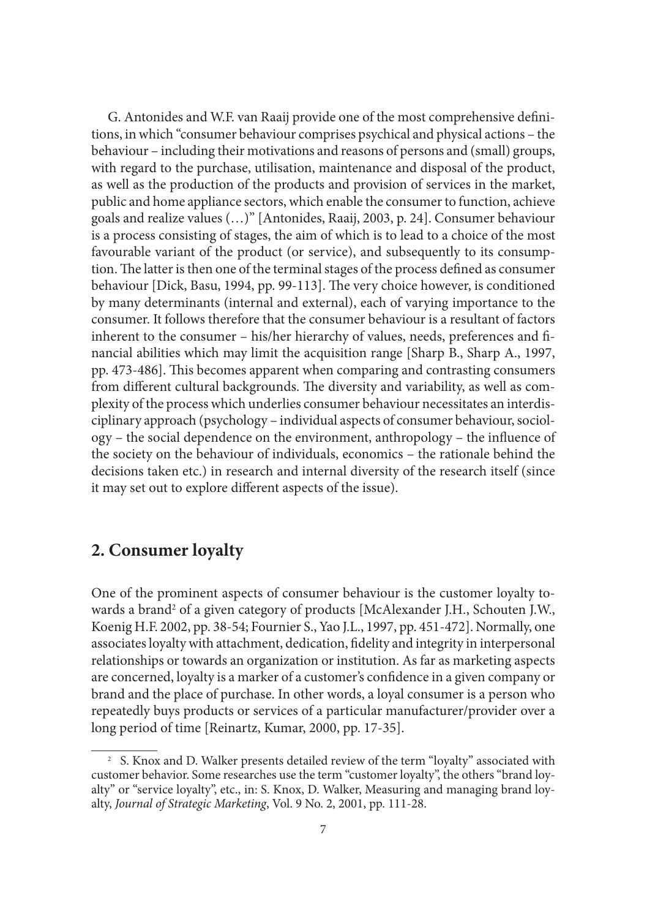G. Antonides and W.F. van Raaij provide one of the most comprehensive definitions, in which "consumer behaviour comprises psychical and physical actions – the behaviour – including their motivations and reasons of persons and (small) groups, with regard to the purchase, utilisation, maintenance and disposal of the product, as well as the production of the products and provision of services in the market, public and home appliance sectors, which enable the consumer to function, achieve goals and realize values (…)" [Antonides, Raaij, 2003, p. 24]. Consumer behaviour is a process consisting of stages, the aim of which is to lead to a choice of the most favourable variant of the product (or service), and subsequently to its consumption. The latter is then one of the terminal stages of the process defined as consumer behaviour [Dick, Basu, 1994, pp. 99-113]. The very choice however, is conditioned by many determinants (internal and external), each of varying importance to the consumer. It follows therefore that the consumer behaviour is a resultant of factors inherent to the consumer – his/her hierarchy of values, needs, preferences and financial abilities which may limit the acquisition range [Sharp B., Sharp A., 1997, pp. 473-486]. This becomes apparent when comparing and contrasting consumers from different cultural backgrounds. The diversity and variability, as well as complexity of the process which underlies consumer behaviour necessitates an interdisciplinary approach (psychology – individual aspects of consumer behaviour, sociol $ogy$  – the social dependence on the environment, anthropology – the influence of the society on the behaviour of individuals, economics – the rationale behind the decisions taken etc.) in research and internal diversity of the research itself (since it may set out to explore different aspects of the issue).

## **2. Consumer loyalty**

One of the prominent aspects of consumer behaviour is the customer loyalty towards a brand<sup>2</sup> of a given category of products [McAlexander J.H., Schouten J.W., Koenig H.F. 2002, pp. 38-54; Fournier S., Yao J.L., 1997, pp. 451-472]. Normally, one associates loyalty with attachment, dedication, fidelity and integrity in interpersonal relationships or towards an organization or institution. As far as marketing aspects are concerned, loyalty is a marker of a customer's confidence in a given company or brand and the place of purchase. In other words, a loyal consumer is a person who repeatedly buys products or services of a particular manufacturer/provider over a long period of time [Reinartz, Kumar, 2000, pp. 17-35].

<sup>&</sup>lt;sup>2</sup> S. Knox and D. Walker presents detailed review of the term "loyalty" associated with customer behavior. Some researches use the term "customer loyalty", the others "brand loyalty" or "service loyalty", etc., in: S. Knox, D. Walker, Measuring and managing brand loyalty, *Journal of Strategic Marketing*, Vol. 9 No. 2, 2001, pp. 111-28.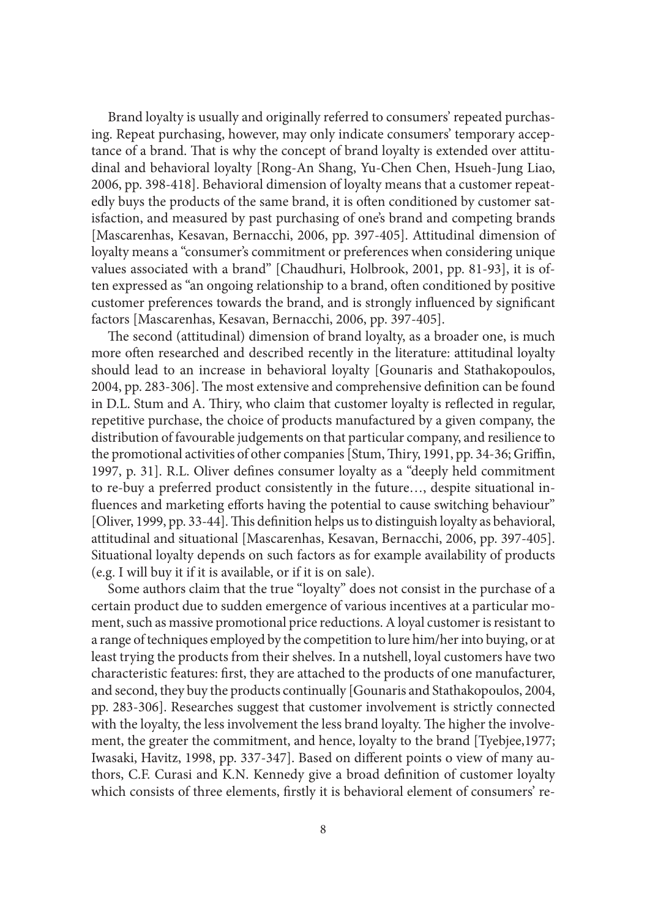Brand loyalty is usually and originally referred to consumers' repeated purchasing. Repeat purchasing, however, may only indicate consumers' temporary acceptance of a brand. That is why the concept of brand loyalty is extended over attitudinal and behavioral loyalty [Rong-An Shang, Yu-Chen Chen, Hsueh-Jung Liao, 2006, pp. 398-418]. Behavioral dimension of loyalty means that a customer repeatedly buys the products of the same brand, it is often conditioned by customer satisfaction, and measured by past purchasing of one's brand and competing brands [Mascarenhas, Kesavan, Bernacchi, 2006, pp. 397-405]. Attitudinal dimension of loyalty means a "consumer's commitment or preferences when considering unique values associated with a brand" [Chaudhuri, Holbrook, 2001, pp. 81-93], it is often expressed as "an ongoing relationship to a brand, often conditioned by positive customer preferences towards the brand, and is strongly influenced by significant factors [Mascarenhas, Kesavan, Bernacchi, 2006, pp. 397-405].

The second (attitudinal) dimension of brand loyalty, as a broader one, is much more often researched and described recently in the literature: attitudinal loyalty should lead to an increase in behavioral loyalty [Gounaris and Stathakopoulos, 2004, pp. 283-306]. The most extensive and comprehensive definition can be found in D.L. Stum and A. Thiry, who claim that customer loyalty is reflected in regular, repetitive purchase, the choice of products manufactured by a given company, the distribution of favourable judgements on that particular company, and resilience to the promotional activities of other companies [Stum, Thiry, 1991, pp. 34-36; Griffin, 1997, p. 31]. R.L. Oliver defines consumer loyalty as a "deeply held commitment to re-buy a preferred product consistently in the future…, despite situational influences and marketing efforts having the potential to cause switching behaviour" [Oliver, 1999, pp. 33-44]. This definition helps us to distinguish loyalty as behavioral, attitudinal and situational [Mascarenhas, Kesavan, Bernacchi, 2006, pp. 397-405]. Situational loyalty depends on such factors as for example availability of products (e.g. I will buy it if it is available, or if it is on sale).

Some authors claim that the true "loyalty" does not consist in the purchase of a certain product due to sudden emergence of various incentives at a particular moment, such as massive promotional price reductions. A loyal customer is resistant to a range of techniques employed by the competition to lure him/her into buying, or at least trying the products from their shelves. In a nutshell, loyal customers have two characteristic features: first, they are attached to the products of one manufacturer, and second, they buy the products continually [Gounaris and Stathakopoulos, 2004, pp. 283-306]. Researches suggest that customer involvement is strictly connected with the loyalty, the less involvement the less brand loyalty. The higher the involvement, the greater the commitment, and hence, loyalty to the brand [Tyebjee,1977; Iwasaki, Havitz, 1998, pp. 337-347]. Based on different points o view of many authors, C.F. Curasi and K.N. Kennedy give a broad definition of customer loyalty which consists of three elements, firstly it is behavioral element of consumers' re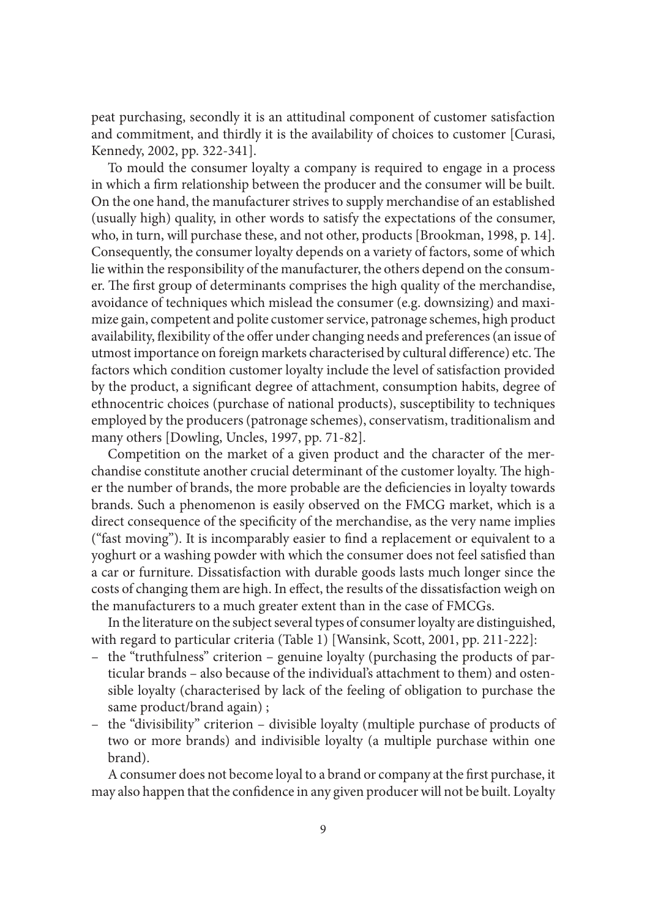peat purchasing, secondly it is an attitudinal component of customer satisfaction and commitment, and thirdly it is the availability of choices to customer [Curasi, Kennedy, 2002, pp. 322-341].

To mould the consumer loyalty a company is required to engage in a process in which a firm relationship between the producer and the consumer will be built. On the one hand, the manufacturer strives to supply merchandise of an established (usually high) quality, in other words to satisfy the expectations of the consumer, who, in turn, will purchase these, and not other, products [Brookman, 1998, p. 14]. Consequently, the consumer loyalty depends on a variety of factors, some of which lie within the responsibility of the manufacturer, the others depend on the consumer. The first group of determinants comprises the high quality of the merchandise, avoidance of techniques which mislead the consumer (e.g. downsizing) and maximize gain, competent and polite customer service, patronage schemes, high product availability, flexibility of the offer under changing needs and preferences (an issue of utmost importance on foreign markets characterised by cultural difference) etc. The factors which condition customer loyalty include the level of satisfaction provided by the product, a significant degree of attachment, consumption habits, degree of ethnocentric choices (purchase of national products), susceptibility to techniques employed by the producers (patronage schemes), conservatism, traditionalism and many others [Dowling, Uncles, 1997, pp. 71-82].

Competition on the market of a given product and the character of the merchandise constitute another crucial determinant of the customer loyalty. The higher the number of brands, the more probable are the deficiencies in loyalty towards brands. Such a phenomenon is easily observed on the FMCG market, which is a direct consequence of the specificity of the merchandise, as the very name implies ("fast moving"). It is incomparably easier to find a replacement or equivalent to a yoghurt or a washing powder with which the consumer does not feel satisfied than a car or furniture. Dissatisfaction with durable goods lasts much longer since the costs of changing them are high. In effect, the results of the dissatisfaction weigh on the manufacturers to a much greater extent than in the case of FMCGs.

In the literature on the subject several types of consumer loyalty are distinguished, with regard to particular criteria (Table 1) [Wansink, Scott, 2001, pp. 211-222]:

- the "truthfulness" criterion genuine loyalty (purchasing the products of particular brands – also because of the individual's attachment to them) and ostensible loyalty (characterised by lack of the feeling of obligation to purchase the same product/brand again) ;
- the "divisibility" criterion divisible loyalty (multiple purchase of products of two or more brands) and indivisible loyalty (a multiple purchase within one brand).

A consumer does not become loyal to a brand or company at the first purchase, it may also happen that the confidence in any given producer will not be built. Loyalty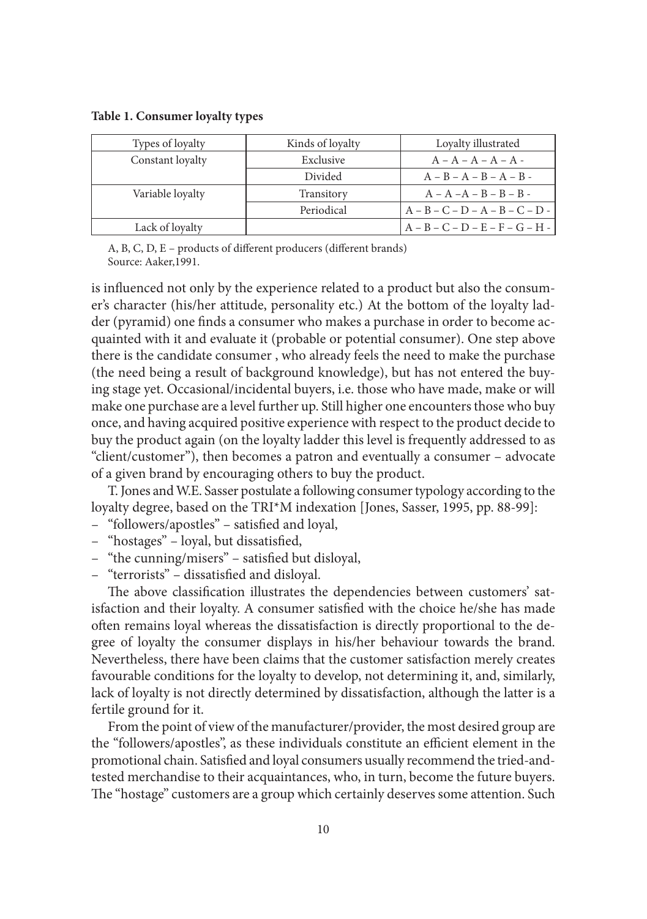**Table 1. Consumer loyalty types** 

| Types of loyalty | Kinds of loyalty | Loyalty illustrated               |
|------------------|------------------|-----------------------------------|
| Constant loyalty | Exclusive        | $A - A - A - A - A - A$           |
|                  | Divided          | $A - B - A - B - A - B -$         |
| Variable loyalty | Transitory       | $A - A - A - B - B - B -$         |
|                  | Periodical       | $A - B - C - D - A - B - C - D -$ |
| Lack of loyalty  |                  | $A - B - C - D - E - F - G - H -$ |

A, B, C, D, E – products of different producers (different brands) Source: Aaker,1991.

is influenced not only by the experience related to a product but also the consumer's character (his/her attitude, personality etc.) At the bottom of the loyalty ladder (pyramid) one finds a consumer who makes a purchase in order to become acquainted with it and evaluate it (probable or potential consumer). One step above there is the candidate consumer , who already feels the need to make the purchase (the need being a result of background knowledge), but has not entered the buying stage yet. Occasional/incidental buyers, i.e. those who have made, make or will make one purchase are a level further up. Still higher one encounters those who buy once, and having acquired positive experience with respect to the product decide to buy the product again (on the loyalty ladder this level is frequently addressed to as "client/customer"), then becomes a patron and eventually a consumer – advocate of a given brand by encouraging others to buy the product.

T. Jones and W.E. Sasser postulate a following consumer typology according to the loyalty degree, based on the TRI\*M indexation [Jones, Sasser, 1995, pp. 88-99]:

- "followers/apostles" satisfied and loyal,
- "hostages" loyal, but dissatisfied,
- "the cunning/misers" satisfied but disloyal,
- "terrorists" dissatisfied and disloyal.

The above classification illustrates the dependencies between customers' satisfaction and their loyalty. A consumer satisfied with the choice he/she has made often remains loyal whereas the dissatisfaction is directly proportional to the degree of loyalty the consumer displays in his/her behaviour towards the brand. Nevertheless, there have been claims that the customer satisfaction merely creates favourable conditions for the loyalty to develop, not determining it, and, similarly, lack of loyalty is not directly determined by dissatisfaction, although the latter is a fertile ground for it.

From the point of view of the manufacturer/provider, the most desired group are the "followers/apostles", as these individuals constitute an efficient element in the promotional chain. Satisfied and loyal consumers usually recommend the tried-andtested merchandise to their acquaintances, who, in turn, become the future buyers. The "hostage" customers are a group which certainly deserves some attention. Such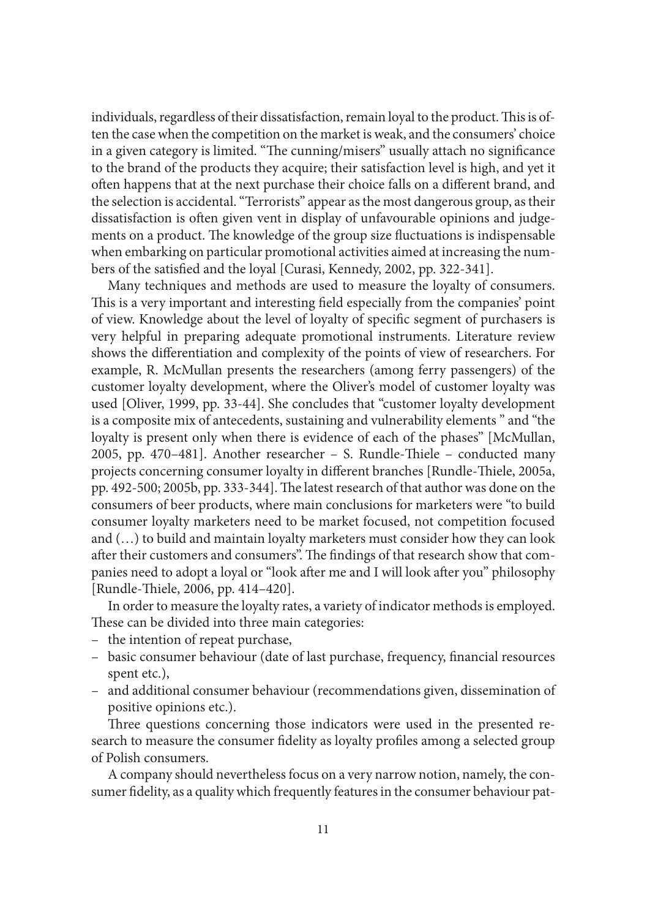individuals, regardless of their dissatisfaction, remain loyal to the product. This is often the case when the competition on the market is weak, and the consumers' choice in a given category is limited. "The cunning/misers" usually attach no significance to the brand of the products they acquire; their satisfaction level is high, and yet it often happens that at the next purchase their choice falls on a different brand, and the selection is accidental. "Terrorists" appear as the most dangerous group, as their dissatisfaction is often given vent in display of unfavourable opinions and judgements on a product. The knowledge of the group size fluctuations is indispensable when embarking on particular promotional activities aimed at increasing the numbers of the satisfied and the loyal [Curasi, Kennedy, 2002, pp. 322-341].

Many techniques and methods are used to measure the loyalty of consumers. This is a very important and interesting field especially from the companies' point of view. Knowledge about the level of loyalty of specific segment of purchasers is very helpful in preparing adequate promotional instruments. Literature review shows the differentiation and complexity of the points of view of researchers. For example, R. McMullan presents the researchers (among ferry passengers) of the customer loyalty development, where the Oliver's model of customer loyalty was used [Oliver, 1999, pp. 33-44]. She concludes that "customer loyalty development is a composite mix of antecedents, sustaining and vulnerability elements " and "the loyalty is present only when there is evidence of each of the phases" [McMullan, 2005, pp. 470–481]. Another researcher – S. Rundle-Thiele – conducted many projects concerning consumer loyalty in different branches [Rundle-Thiele, 2005a, pp. 492-500; 2005b, pp. 333-344]. The latest research of that author was done on the consumers of beer products, where main conclusions for marketers were "to build consumer loyalty marketers need to be market focused, not competition focused and (…) to build and maintain loyalty marketers must consider how they can look after their customers and consumers". The findings of that research show that companies need to adopt a loyal or "look after me and I will look after you" philosophy [Rundle-Thiele, 2006, pp. 414-420].

In order to measure the loyalty rates, a variety of indicator methods is employed. These can be divided into three main categories:

- the intention of repeat purchase,
- basic consumer behaviour (date of last purchase, frequency, financial resources spent etc.),
- and additional consumer behaviour (recommendations given, dissemination of positive opinions etc.).

Three questions concerning those indicators were used in the presented research to measure the consumer fidelity as loyalty profiles among a selected group of Polish consumers.

A company should nevertheless focus on a very narrow notion, namely, the consumer fidelity, as a quality which frequently features in the consumer behaviour pat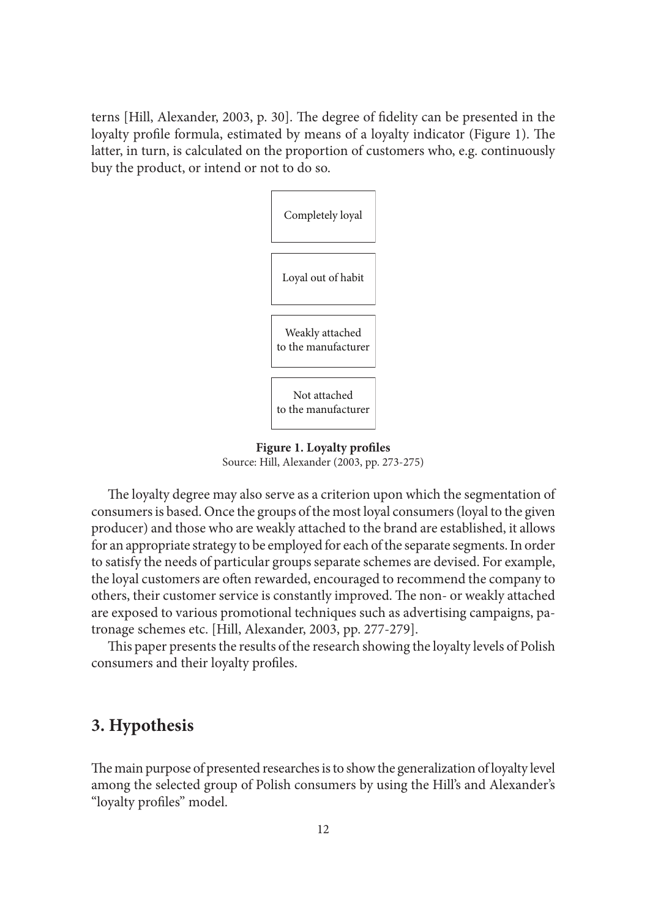terns [Hill, Alexander, 2003, p. 30]. The degree of fidelity can be presented in the loyalty profile formula, estimated by means of a loyalty indicator (Figure 1). The latter, in turn, is calculated on the proportion of customers who, e.g. continuously buy the product, or intend or not to do so.



**Figure 1. Loyalty profiles** Source: Hill, Alexander (2003, pp. 273-275)

The loyalty degree may also serve as a criterion upon which the segmentation of consumers is based. Once the groups of the most loyal consumers (loyal to the given producer) and those who are weakly attached to the brand are established, it allows for an appropriate strategy to be employed for each of the separate segments. In order to satisfy the needs of particular groups separate schemes are devised. For example, the loyal customers are often rewarded, encouraged to recommend the company to others, their customer service is constantly improved. The non- or weakly attached are exposed to various promotional techniques such as advertising campaigns, patronage schemes etc. [Hill, Alexander, 2003, pp. 277-279].

This paper presents the results of the research showing the loyalty levels of Polish consumers and their loyalty profiles.

## **3. Hypothesis**

The main purpose of presented researches is to show the generalization of loyalty level among the selected group of Polish consumers by using the Hill's and Alexander's "loyalty profiles" model.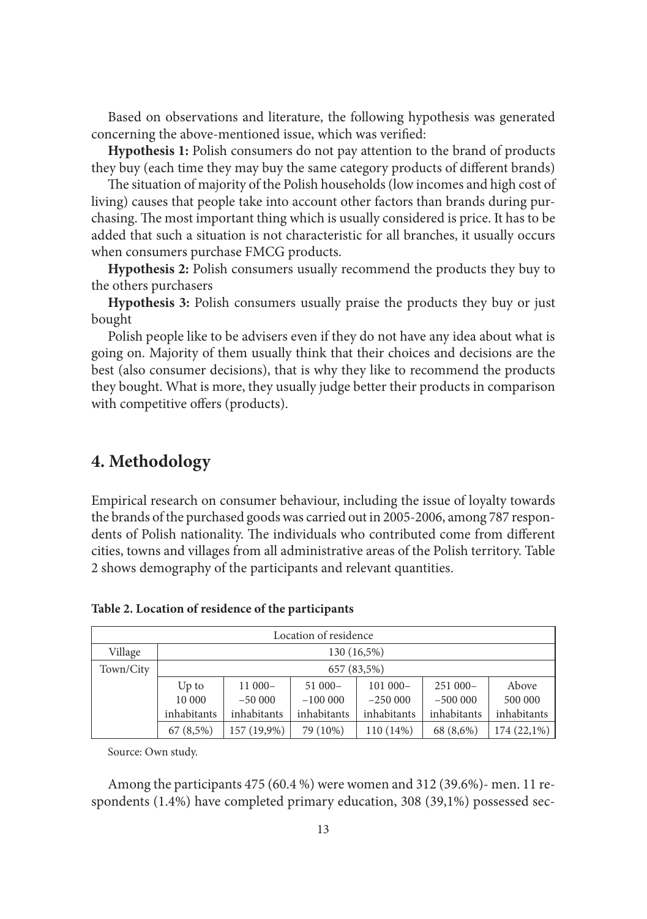Based on observations and literature, the following hypothesis was generated concerning the above-mentioned issue, which was verified:

**Hypothesis 1:** Polish consumers do not pay attention to the brand of products they buy (each time they may buy the same category products of different brands)

The situation of majority of the Polish households (low incomes and high cost of living) causes that people take into account other factors than brands during purchasing. The most important thing which is usually considered is price. It has to be added that such a situation is not characteristic for all branches, it usually occurs when consumers purchase FMCG products.

**Hypothesis 2:** Polish consumers usually recommend the products they buy to the others purchasers

**Hypothesis 3:** Polish consumers usually praise the products they buy or just bought

Polish people like to be advisers even if they do not have any idea about what is going on. Majority of them usually think that their choices and decisions are the best (also consumer decisions), that is why they like to recommend the products they bought. What is more, they usually judge better their products in comparison with competitive offers (products).

#### **4. Methodology**

Empirical research on consumer behaviour, including the issue of loyalty towards the brands of the purchased goods was carried out in 2005-2006, among 787 respondents of Polish nationality. The individuals who contributed come from different cities, towns and villages from all administrative areas of the Polish territory. Table 2 shows demography of the participants and relevant quantities.

| Location of residence |             |             |             |             |             |             |  |  |  |
|-----------------------|-------------|-------------|-------------|-------------|-------------|-------------|--|--|--|
| Village               | 130 (16,5%) |             |             |             |             |             |  |  |  |
| Town/City             | 657 (83,5%) |             |             |             |             |             |  |  |  |
|                       | $Up$ to     | $11000-$    | $51000 -$   | $101000 -$  | $251000 -$  | Above       |  |  |  |
|                       | 10 000      | $-50000$    | $-100000$   | $-250000$   | $-500000$   | 500 000     |  |  |  |
|                       | inhabitants | inhabitants | inhabitants | inhabitants | inhabitants | inhabitants |  |  |  |
|                       | 67(8,5%)    | 157 (19,9%) | 79 (10%)    | 110 (14%)   | 68 (8,6%)   | 174 (22,1%) |  |  |  |

**Table 2. Location of residence of the participants**

Source: Own study.

Among the participants 475 (60.4 %) were women and 312 (39.6%)- men. 11 respondents (1.4%) have completed primary education, 308 (39,1%) possessed sec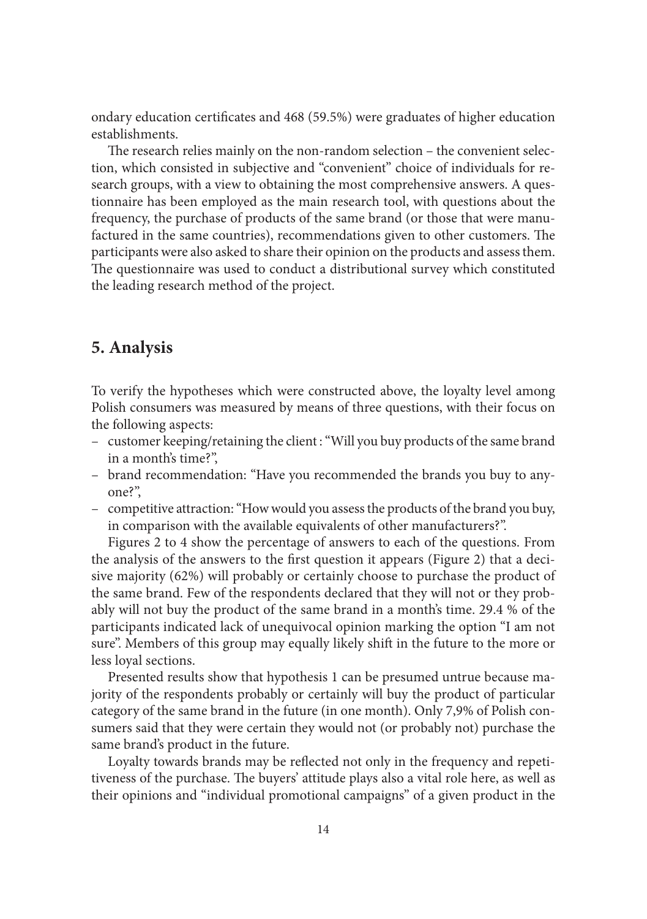ondary education certificates and 468 (59.5%) were graduates of higher education establishments.

The research relies mainly on the non-random selection – the convenient selection, which consisted in subjective and "convenient" choice of individuals for research groups, with a view to obtaining the most comprehensive answers. A questionnaire has been employed as the main research tool, with questions about the frequency, the purchase of products of the same brand (or those that were manufactured in the same countries), recommendations given to other customers. The participants were also asked to share their opinion on the products and assess them. The questionnaire was used to conduct a distributional survey which constituted the leading research method of the project.

#### **5. Analysis**

To verify the hypotheses which were constructed above, the loyalty level among Polish consumers was measured by means of three questions, with their focus on the following aspects:

- customer keeping/retaining the client : "Will you buy products of the same brand in a month's time?",
- brand recommendation: "Have you recommended the brands you buy to any-– one?",
- competitive attraction: "How would you assess the products of the brand you buy, in comparison with the available equivalents of other manufacturers?".

Figures 2 to 4 show the percentage of answers to each of the questions. From the analysis of the answers to the first question it appears (Figure 2) that a deci-sive majority (62%) will probably or certainly choose to purchase the product of the same brand. Few of the respondents declared that they will not or they probably will not buy the product of the same brand in a month's time. 29.4 % of the participants indicated lack of unequivocal opinion marking the option "I am not sure". Members of this group may equally likely shift in the future to the more or less loyal sections.

Presented results show that hypothesis 1 can be presumed untrue because majority of the respondents probably or certainly will buy the product of particular category of the same brand in the future (in one month). Only 7,9% of Polish consumers said that they were certain they would not (or probably not) purchase the same brand's product in the future.

Loyalty towards brands may be reflected not only in the frequency and repetitiveness of the purchase. The buyers' attitude plays also a vital role here, as well as their opinions and "individual promotional campaigns" of a given product in the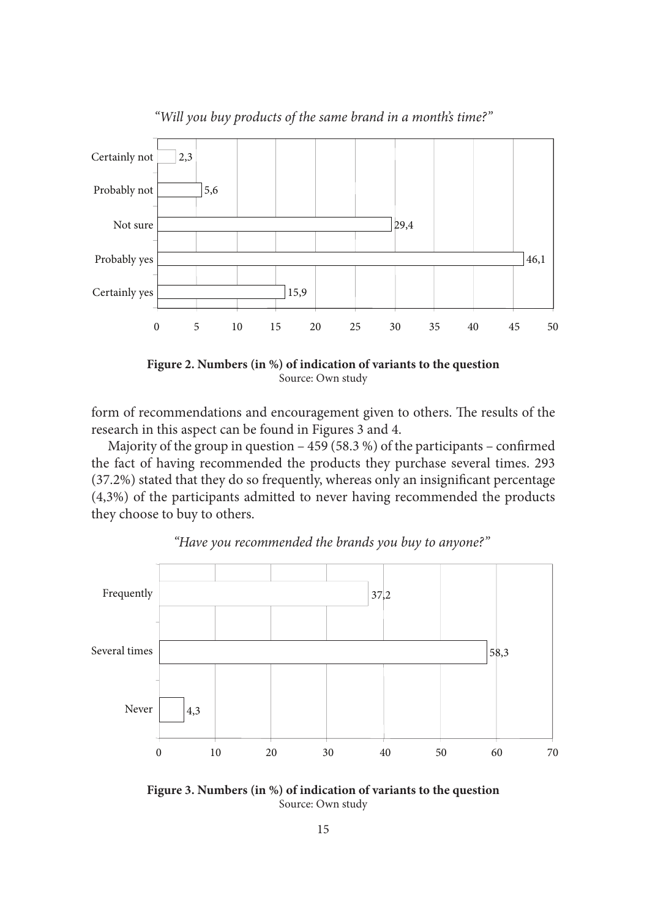

*"Will you buy products of the same brand in a month's time?"*



form of recommendations and encouragement given to others. The results of the research in this aspect can be found in Figures 3 and 4.

Majority of the group in question  $-459(58.3%)$  of the participants – confirmed the fact of having recommended the products they purchase several times. 293  $(37.2%)$  stated that they do so frequently, whereas only an insignificant percentage (4,3%) of the participants admitted to never having recommended the products they choose to buy to others.



*"Have you recommended the brands you buy to anyone?"*

**Figure 3. Numbers (in %) of indication of variants to the question** Source: Own study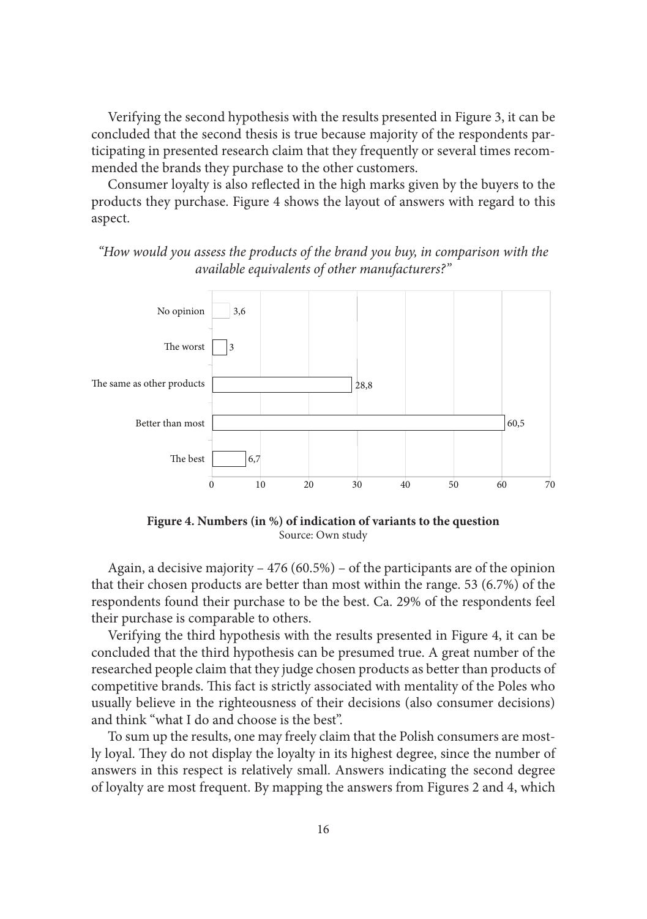Verifying the second hypothesis with the results presented in Figure 3, it can be concluded that the second thesis is true because majority of the respondents participating in presented research claim that they frequently or several times recommended the brands they purchase to the other customers.

Consumer loyalty is also reflected in the high marks given by the buyers to the products they purchase. Figure 4 shows the layout of answers with regard to this aspect.

*"How would you assess the products of the brand you buy, in comparison with the available equivalents of other manufacturers?"*



**Figure 4. Numbers (in %) of indication of variants to the question** Source: Own study

Again, a decisive majority – 476 (60.5%) – of the participants are of the opinion that their chosen products are better than most within the range. 53 (6.7%) of the respondents found their purchase to be the best. Ca. 29% of the respondents feel their purchase is comparable to others.

Verifying the third hypothesis with the results presented in Figure 4, it can be concluded that the third hypothesis can be presumed true. A great number of the researched people claim that they judge chosen products as better than products of competitive brands. This fact is strictly associated with mentality of the Poles who usually believe in the righteousness of their decisions (also consumer decisions) and think "what I do and choose is the best".

To sum up the results, one may freely claim that the Polish consumers are mostly loyal. They do not display the loyalty in its highest degree, since the number of answers in this respect is relatively small. Answers indicating the second degree of loyalty are most frequent. By mapping the answers from Figures 2 and 4, which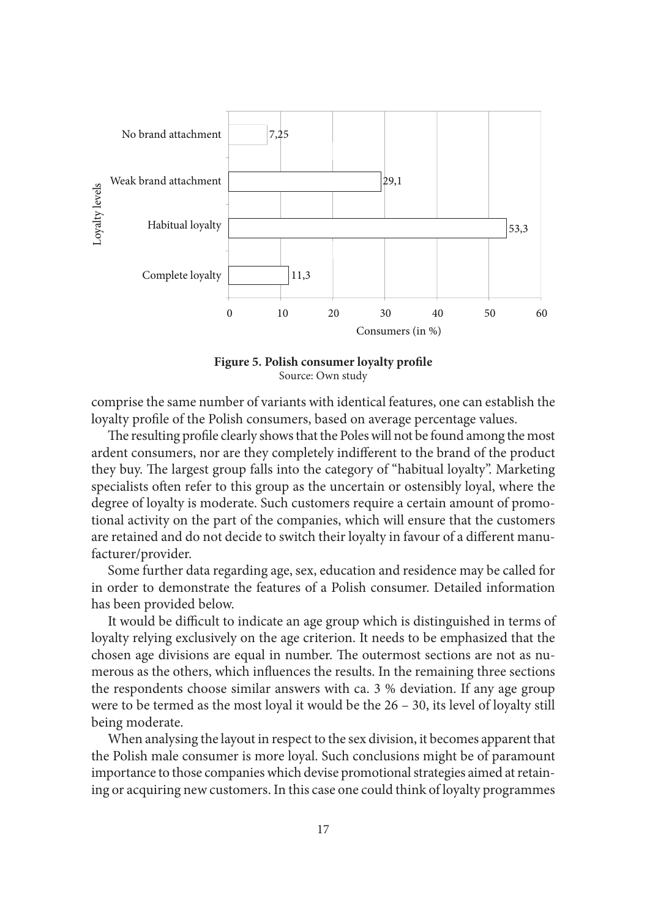



comprise the same number of variants with identical features, one can establish the loyalty profile of the Polish consumers, based on average percentage values.

The resulting profile clearly shows that the Poles will not be found among the most ardent consumers, nor are they completely indifferent to the brand of the product they buy. The largest group falls into the category of "habitual loyalty". Marketing specialists often refer to this group as the uncertain or ostensibly loyal, where the degree of loyalty is moderate. Such customers require a certain amount of promotional activity on the part of the companies, which will ensure that the customers are retained and do not decide to switch their loyalty in favour of a different manufacturer/provider.

Some further data regarding age, sex, education and residence may be called for in order to demonstrate the features of a Polish consumer. Detailed information has been provided below.

It would be difficult to indicate an age group which is distinguished in terms of loyalty relying exclusively on the age criterion. It needs to be emphasized that the chosen age divisions are equal in number. The outermost sections are not as numerous as the others, which influences the results. In the remaining three sections the respondents choose similar answers with ca. 3 % deviation. If any age group were to be termed as the most loyal it would be the 26 – 30, its level of loyalty still being moderate.

When analysing the layout in respect to the sex division, it becomes apparent that the Polish male consumer is more loyal. Such conclusions might be of paramount importance to those companies which devise promotional strategies aimed at retaining or acquiring new customers. In this case one could think of loyalty programmes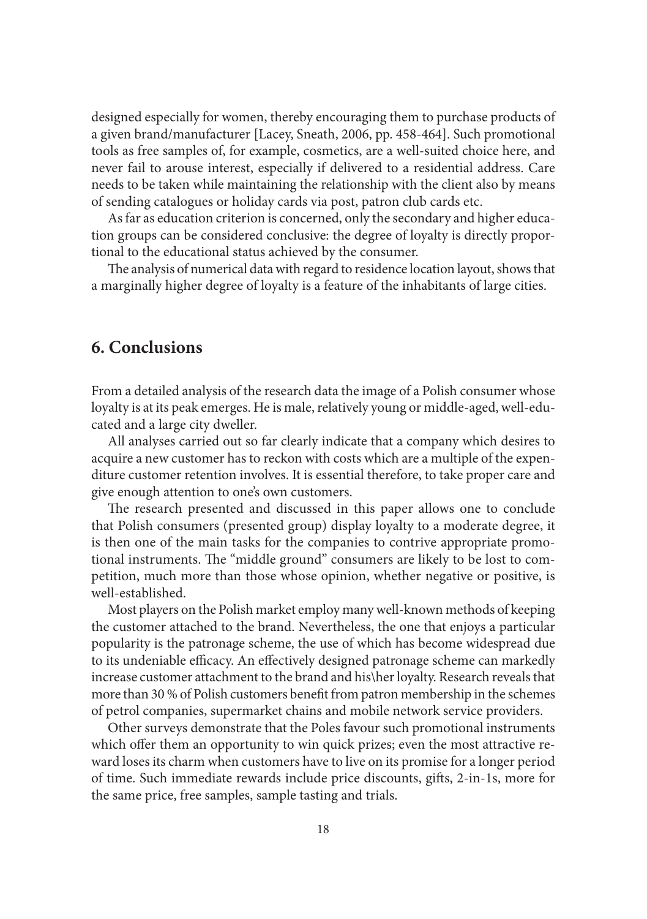designed especially for women, thereby encouraging them to purchase products of a given brand/manufacturer [Lacey, Sneath, 2006, pp. 458-464]. Such promotional tools as free samples of, for example, cosmetics, are a well-suited choice here, and never fail to arouse interest, especially if delivered to a residential address. Care needs to be taken while maintaining the relationship with the client also by means of sending catalogues or holiday cards via post, patron club cards etc.

As far as education criterion is concerned, only the secondary and higher education groups can be considered conclusive: the degree of loyalty is directly proportional to the educational status achieved by the consumer.

The analysis of numerical data with regard to residence location layout, shows that a marginally higher degree of loyalty is a feature of the inhabitants of large cities.

#### **6. Conclusions**

From a detailed analysis of the research data the image of a Polish consumer whose loyalty is at its peak emerges. He is male, relatively young or middle-aged, well-educated and a large city dweller.

All analyses carried out so far clearly indicate that a company which desires to acquire a new customer has to reckon with costs which are a multiple of the expenditure customer retention involves. It is essential therefore, to take proper care and give enough attention to one's own customers.

The research presented and discussed in this paper allows one to conclude that Polish consumers (presented group) display loyalty to a moderate degree, it is then one of the main tasks for the companies to contrive appropriate promotional instruments. The "middle ground" consumers are likely to be lost to competition, much more than those whose opinion, whether negative or positive, is well-established.

Most players on the Polish market employ many well-known methods of keeping the customer attached to the brand. Nevertheless, the one that enjoys a particular popularity is the patronage scheme, the use of which has become widespread due to its undeniable efficacy. An effectively designed patronage scheme can markedly increase customer attachment to the brand and his\her loyalty. Research reveals that more than 30 % of Polish customers benefi t from patron membership in the schemes of petrol companies, supermarket chains and mobile network service providers.

Other surveys demonstrate that the Poles favour such promotional instruments which offer them an opportunity to win quick prizes; even the most attractive reward loses its charm when customers have to live on its promise for a longer period of time. Such immediate rewards include price discounts, gifts, 2-in-1s, more for the same price, free samples, sample tasting and trials.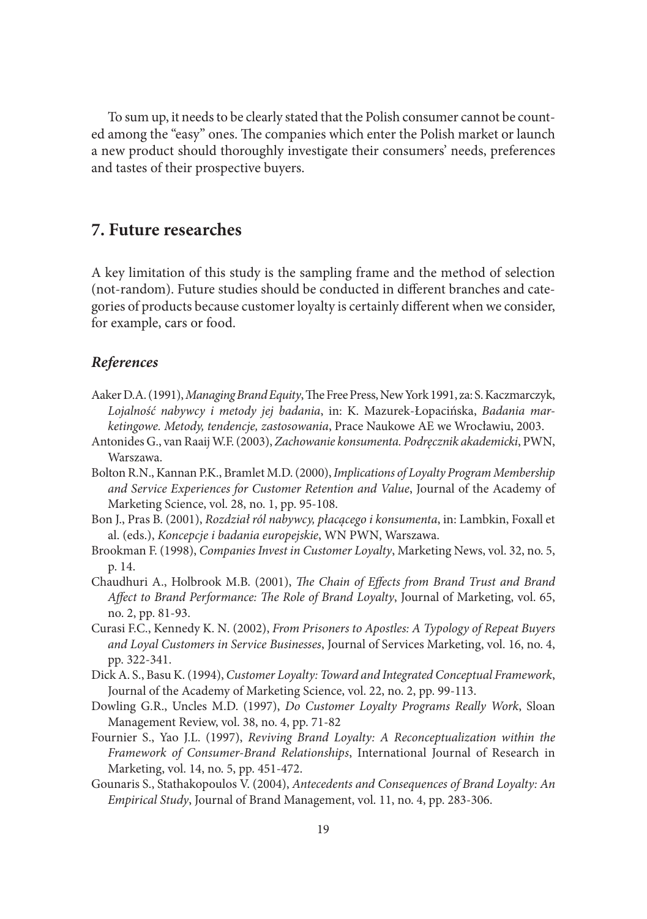To sum up, it needs to be clearly stated that the Polish consumer cannot be counted among the "easy" ones. The companies which enter the Polish market or launch a new product should thoroughly investigate their consumers' needs, preferences and tastes of their prospective buyers.

#### **7. Future researches**

A key limitation of this study is the sampling frame and the method of selection (not-random). Future studies should be conducted in different branches and categories of products because customer loyalty is certainly different when we consider, for example, cars or food.

#### *References*

- Aaker D.A. (1991), *Managing Brand Equity*, The Free Press, New York 1991, za: S. Kaczmarczyk, *Lojalność nabywcy i metody jej badania*, in: K. Mazurek-Łopacińska, *Badania marketingowe. Metody, tendencje, zastosowania*, Prace Naukowe AE we Wrocławiu, 2003.
- Antonides G., van Raaij W.F. (2003), *Zachowanie konsumenta. Podręcznik akademicki*, PWN, Warszawa.
- Bolton R.N., Kannan P.K., Bramlet M.D. (2000), *Implications of Loyalty Program Membership and Service Experiences for Customer Retention and Value*, Journal of the Academy of Marketing Science, vol. 28, no. 1, pp. 95-108.
- Bon J., Pras B. (2001), *Rozdział ról nabywcy, płacącego i konsumenta*, in: Lambkin, Foxall et al. (eds.), *Koncepcje i badania europejskie*, WN PWN, Warszawa.
- Brookman F. (1998), *Companies Invest in Customer Loyalty*, Marketing News, vol. 32, no. 5, p. 14.
- Chaudhuri A., Holbrook M.B. (2001), *The Chain of Effects from Brand Trust and Brand* Affect to Brand Performance: The Role of Brand Loyalty, Journal of Marketing, vol. 65, no. 2, pp. 81-93.
- Curasi F.C., Kennedy K. N. (2002), *From Prisoners to Apostles: A Typology of Repeat Buyers and Loyal Customers in Service Businesses*, Journal of Services Marketing, vol. 16, no. 4, pp. 322-341.
- Dick A. S., Basu K. (1994), *Customer Loyalty: Toward and Integrated Conceptual Framework*, Journal of the Academy of Marketing Science, vol. 22, no. 2, pp. 99-113.
- Dowling G.R., Uncles M.D. (1997), *Do Customer Loyalty Programs Really Work*, Sloan Management Review, vol. 38, no. 4, pp. 71-82
- Fournier S., Yao J.L. (1997), *Reviving Brand Loyalty: A Reconceptualization within the Framework of Consumer-Brand Relationships*, International Journal of Research in Marketing, vol. 14, no. 5, pp. 451-472.
- Gounaris S., Stathakopoulos V. (2004), *Antecedents and Consequences of Brand Loyalty: An Empirical Study*, Journal of Brand Management, vol. 11, no. 4, pp. 283-306.